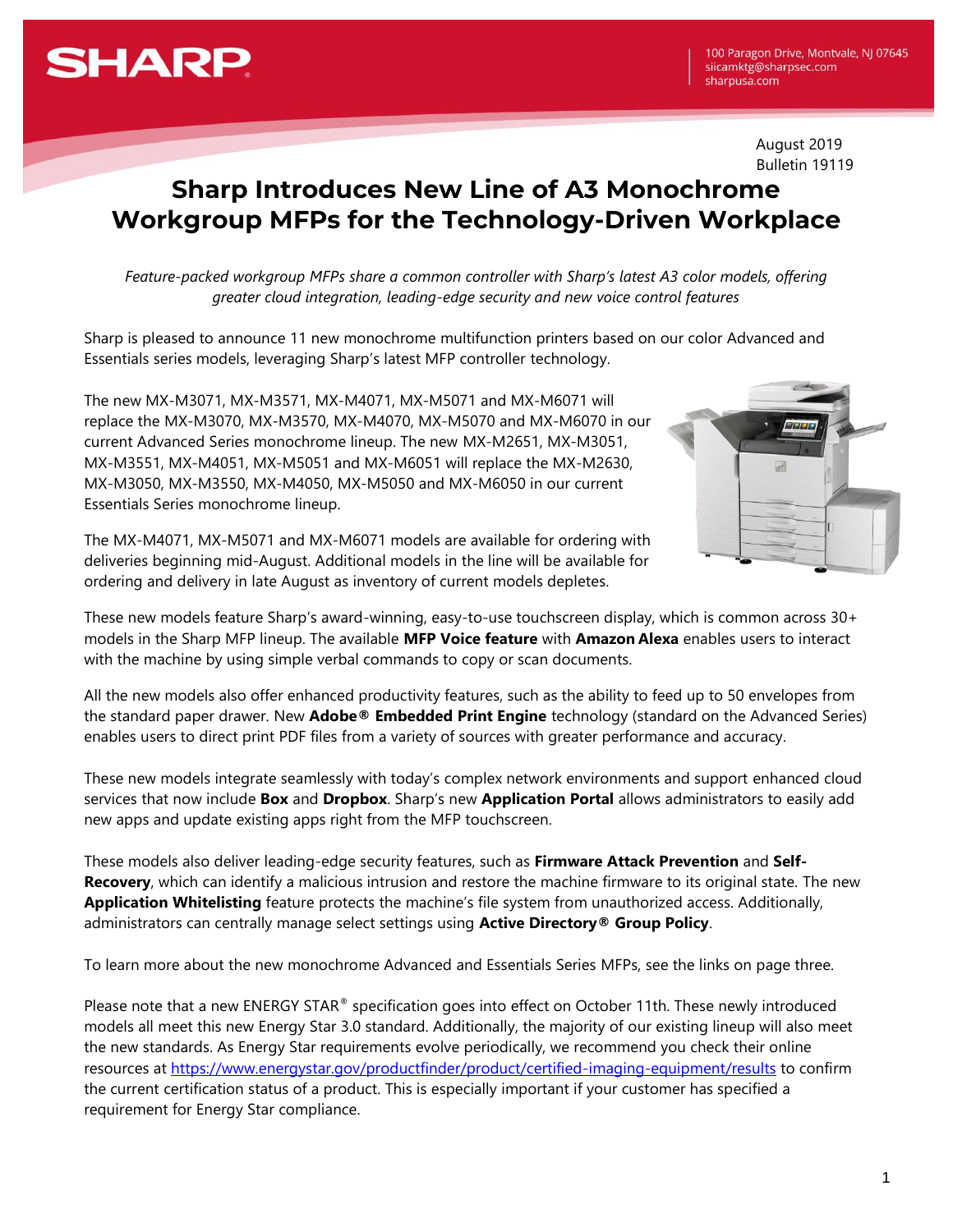# **SHARP**

August 2019 Bulletin 19119

## **Sharp Introduces New Line of A3 Monochrome Workgroup MFPs for the Technology-Driven Workplace**

*Feature-packed workgroup MFPs share a common controller with Sharp's latest A3 color models, offering greater cloud integration, leading-edge security and new voice control features*

Sharp is pleased to announce 11 new monochrome multifunction printers based on our color Advanced and Essentials series models, leveraging Sharp's latest MFP controller technology.

The new MX-M3071, MX-M3571, MX-M4071, MX-M5071 and MX-M6071 will replace the MX-M3070, MX-M3570, MX-M4070, MX-M5070 and MX-M6070 in our current Advanced Series monochrome lineup. The new MX-M2651, MX-M3051, MX-M3551, MX-M4051, MX-M5051 and MX-M6051 will replace the MX-M2630, MX-M3050, MX-M3550, MX-M4050, MX-M5050 and MX-M6050 in our current Essentials Series monochrome lineup.



The MX-M4071, MX-M5071 and MX-M6071 models are available for ordering with deliveries beginning mid-August. Additional models in the line will be available for ordering and delivery in late August as inventory of current models depletes.

These new models feature Sharp's award-winning, easy-to-use touchscreen display, which is common across 30+ models in the Sharp MFP lineup. The available **MFP Voice feature** with **Amazon Alexa** enables users to interact with the machine by using simple verbal commands to copy or scan documents.

All the new models also offer enhanced productivity features, such as the ability to feed up to 50 envelopes from the standard paper drawer. New **Adobe® Embedded Print Engine** technology (standard on the Advanced Series) enables users to direct print PDF files from a variety of sources with greater performance and accuracy.

These new models integrate seamlessly with today's complex network environments and support enhanced cloud services that now include **Box** and **Dropbox**. Sharp's new **Application Portal** allows administrators to easily add new apps and update existing apps right from the MFP touchscreen.

These models also deliver leading-edge security features, such as **Firmware Attack Prevention** and **Self-Recovery**, which can identify a malicious intrusion and restore the machine firmware to its original state. The new **Application Whitelisting** feature protects the machine's file system from unauthorized access. Additionally, administrators can centrally manage select settings using **Active Directory® Group Policy**.

To learn more about the new monochrome Advanced and Essentials Series MFPs, see the links on page three.

Please note that a new ENERGY STAR® specification goes into effect on October 11th. These newly introduced models all meet this new Energy Star 3.0 standard. Additionally, the majority of our existing lineup will also meet the new standards. As Energy Star requirements evolve periodically, we recommend you check their online resources at<https://www.energystar.gov/productfinder/product/certified-imaging-equipment/results> to confirm the current certification status of a product. This is especially important if your customer has specified a requirement for Energy Star compliance.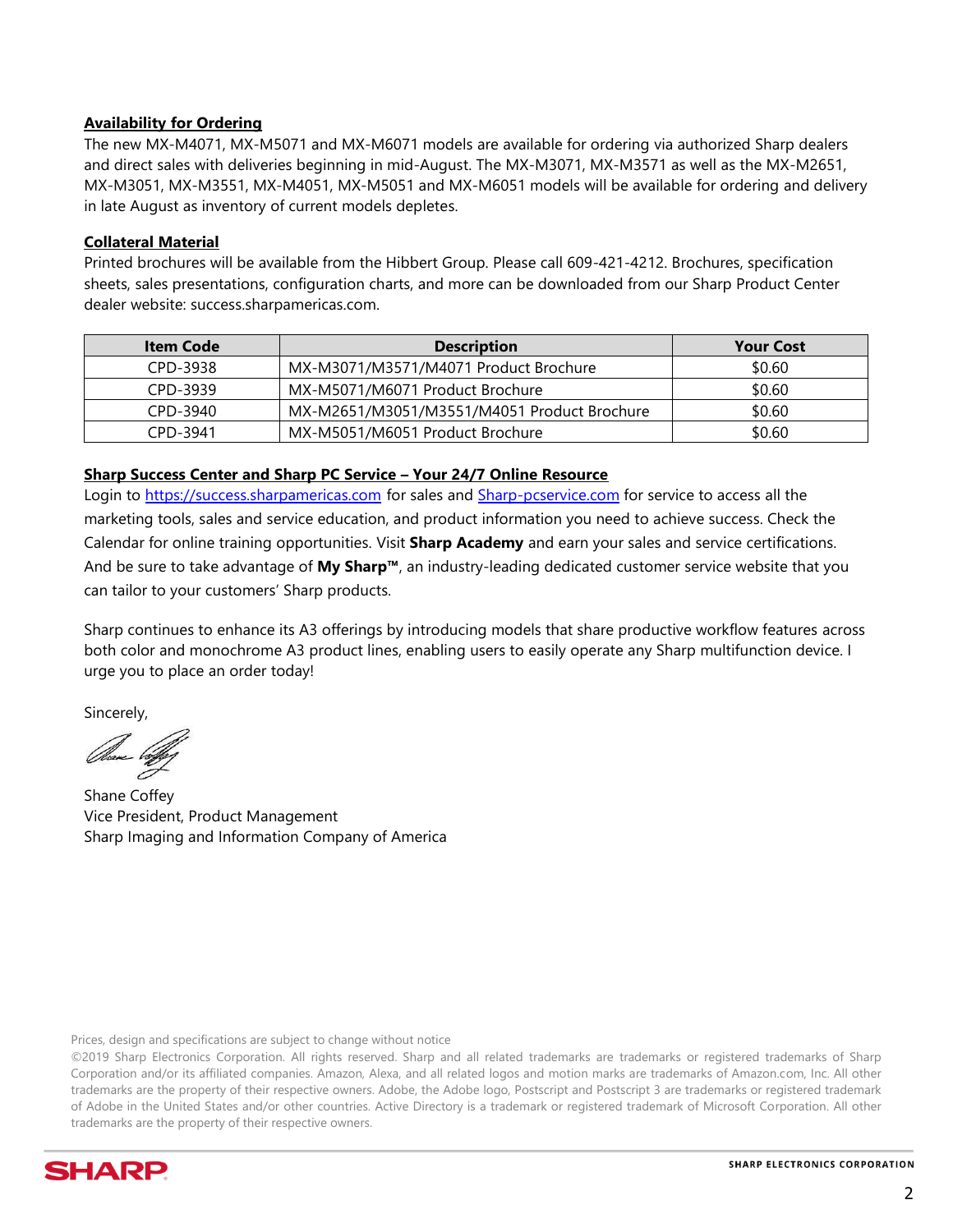#### **Availability for Ordering**

The new MX-M4071, MX-M5071 and MX-M6071 models are available for ordering via authorized Sharp dealers and direct sales with deliveries beginning in mid-August. The MX-M3071, MX-M3571 as well as the MX-M2651, MX-M3051, MX-M3551, MX-M4051, MX-M5051 and MX-M6051 models will be available for ordering and delivery in late August as inventory of current models depletes.

#### **Collateral Material**

Printed brochures will be available from the Hibbert Group. Please call 609-421-4212. Brochures, specification sheets, sales presentations, configuration charts, and more can be downloaded from our Sharp Product Center dealer website: success.sharpamericas.com.

| <b>Item Code</b> | <b>Description</b>                          | <b>Your Cost</b> |
|------------------|---------------------------------------------|------------------|
| CPD-3938         | MX-M3071/M3571/M4071 Product Brochure       | \$0.60           |
| CPD-3939         | MX-M5071/M6071 Product Brochure             | \$0.60           |
| CPD-3940         | MX-M2651/M3051/M3551/M4051 Product Brochure | \$0.60           |
| CPD-3941         | MX-M5051/M6051 Product Brochure             | \$0.60           |

#### **Sharp Success Center and Sharp PC Service – Your 24/7 Online Resource**

Login to [https://success.sharpamericas.com](https://success.sharpamericas.com/) for sales and [Sharp-pcservice.com](http://www.sharp-pcservice.com/) for service to access all the marketing tools, sales and service education, and product information you need to achieve success. Check the Calendar for online training opportunities. Visit **Sharp Academy** and earn your sales and service certifications. And be sure to take advantage of **My Sharp™**, an industry-leading dedicated customer service website that you can tailor to your customers' Sharp products.

Sharp continues to enhance its A3 offerings by introducing models that share productive workflow features across both color and monochrome A3 product lines, enabling users to easily operate any Sharp multifunction device. I urge you to place an order today!

Sincerely,

Observe bog

Shane Coffey Vice President, Product Management Sharp Imaging and Information Company of America

Prices, design and specifications are subject to change without notice

©2019 Sharp Electronics Corporation. All rights reserved. Sharp and all related trademarks are trademarks or registered trademarks of Sharp Corporation and/or its affiliated companies. Amazon, Alexa, and all related logos and motion marks are trademarks of Amazon.com, Inc. All other trademarks are the property of their respective owners. Adobe, the Adobe logo, Postscript and Postscript 3 are trademarks or registered trademark of Adobe in the United States and/or other countries. Active Directory is a trademark or registered trademark of Microsoft Corporation. All other trademarks are the property of their respective owners.